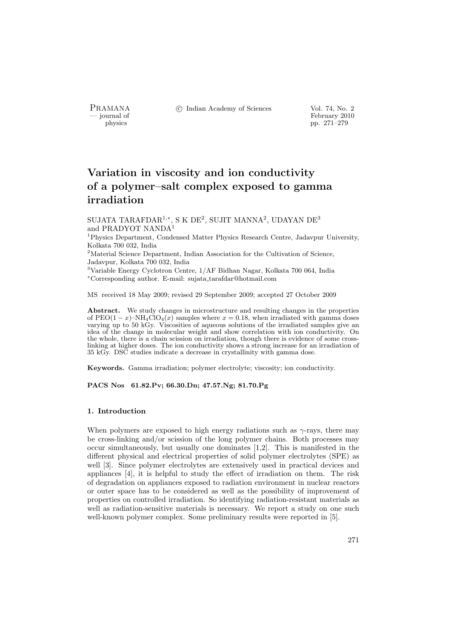PRAMANA °c Indian Academy of Sciences Vol. 74, No. 2

physics<br>
and the settlement of February 2010<br>
pp. 271–279 physics pp. 271–279

# Variation in viscosity and ion conductivity of a polymer–salt complex exposed to gamma irradiation

SUJATA TARAFDAR<sup>1,∗</sup>, S K DE<sup>2</sup>, SUJIT MANNA<sup>2</sup>, UDAYAN DE<sup>3</sup> and PRADYOT NANDA<sup>1</sup>

<sup>1</sup>Physics Department, Condensed Matter Physics Research Centre, Jadavpur University, Kolkata 700 032, India

 ${}^{2}$  Material Science Department, Indian Association for the Cultivation of Science, Jadavpur, Kolkata 700 032, India

<sup>3</sup>Variable Energy Cyclotron Centre, 1/AF Bidhan Nagar, Kolkata 700 064, India <sup>∗</sup>Corresponding author. E-mail: sujata tarafdar@hotmail.com

MS received 18 May 2009; revised 29 September 2009; accepted 27 October 2009

Abstract. We study changes in microstructure and resulting changes in the properties of  $PEO(1-x)$ –NH<sub>4</sub>ClO<sub>4</sub>(x) samples where  $x = 0.18$ , when irradiated with gamma doses varying up to 50 kGy. Viscosities of aqueous solutions of the irradiated samples give an idea of the change in molecular weight and show correlation with ion conductivity. On the whole, there is a chain scission on irradiation, though there is evidence of some crosslinking at higher doses. The ion conductivity shows a strong increase for an irradiation of 35 kGy. DSC studies indicate a decrease in crystallinity with gamma dose.

Keywords. Gamma irradiation; polymer electrolyte; viscosity; ion conductivity.

PACS Nos 61.82.Pv; 66.30.Dn; 47.57.Ng; 81.70.Pg

# 1. Introduction

When polymers are exposed to high energy radiations such as  $\gamma$ -rays, there may be cross-linking and/or scission of the long polymer chains. Both processes may occur simultaneously, but usually one dominates [1,2]. This is manifested in the different physical and electrical properties of solid polymer electrolytes (SPE) as well [3]. Since polymer electrolytes are extensively used in practical devices and appliances [4], it is helpful to study the effect of irradiation on them. The risk of degradation on appliances exposed to radiation environment in nuclear reactors or outer space has to be considered as well as the possibility of improvement of properties on controlled irradiation. So identifying radiation-resistant materials as well as radiation-sensitive materials is necessary. We report a study on one such well-known polymer complex. Some preliminary results were reported in [5].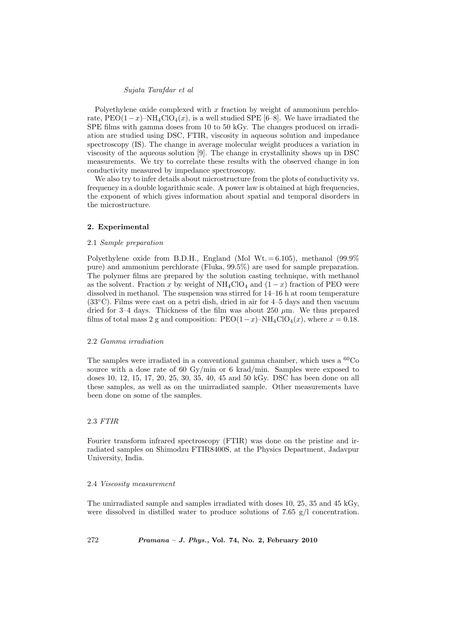#### Sujata Tarafdar et al

Polyethylene oxide complexed with  $x$  fraction by weight of ammonium perchlorate, PEO(1-x)–NH<sub>4</sub>ClO<sub>4</sub>(x), is a well studied SPE [6–8]. We have irradiated the SPE films with gamma doses from 10 to 50 kGy. The changes produced on irradiation are studied using DSC, FTIR, viscosity in aqueous solution and impedance spectroscopy (IS). The change in average molecular weight produces a variation in viscosity of the aqueous solution [9]. The change in crystallinity shows up in DSC measurements. We try to correlate these results with the observed change in ion conductivity measured by impedance spectroscopy.

We also try to infer details about microstructure from the plots of conductivity vs. frequency in a double logarithmic scale. A power law is obtained at high frequencies, the exponent of which gives information about spatial and temporal disorders in the microstructure.

#### 2. Experimental

# 2.1 Sample preparation

Polyethylene oxide from B.D.H., England (Mol Wt.  $= 6.105$ ), methanol (99.9%) pure) and ammonium perchlorate (Fluka, 99.5%) are used for sample preparation. The polymer films are prepared by the solution casting technique, with methanol as the solvent. Fraction x by weight of  $NH_4ClO_4$  and  $(1-x)$  fraction of PEO were dissolved in methanol. The suspension was stirred for 14–16 h at room temperature  $(33°C)$ . Films were cast on a petri dish, dried in air for 4–5 days and then vacuum dried for 3–4 days. Thickness of the film was about 250  $\mu$ m. We thus prepared films of total mass 2 g and composition:  $PEO(1-x)$ –NH<sub>4</sub>ClO<sub>4</sub>(x), where  $x = 0.18$ .

#### 2.2 Gamma irradiation

The samples were irradiated in a conventional gamma chamber, which uses a  ${}^{60}Co$ source with a dose rate of 60 Gy/min or 6 krad/min. Samples were exposed to doses 10, 12, 15, 17, 20, 25, 30, 35, 40, 45 and 50 kGy. DSC has been done on all these samples, as well as on the unirradiated sample. Other measurements have been done on some of the samples.

# 2.3 FTIR

Fourier transform infrared spectroscopy (FTIR) was done on the pristine and irradiated samples on Shimodzu FTIR8400S, at the Physics Department, Jadavpur University, India.

#### 2.4 Viscosity measurement

The unirradiated sample and samples irradiated with doses 10, 25, 35 and 45 kGy, were dissolved in distilled water to produce solutions of 7.65  $g/l$  concentration.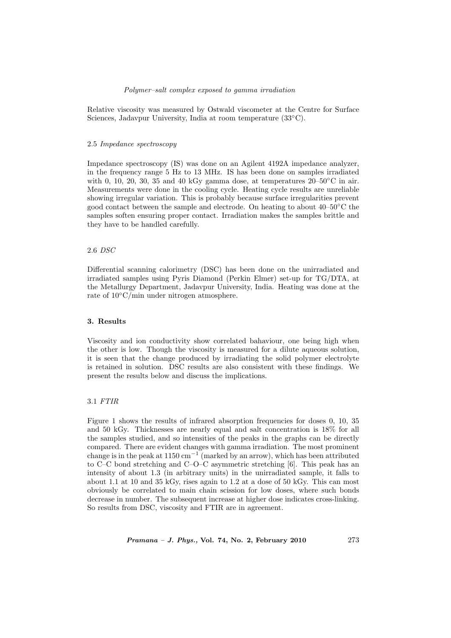#### Polymer–salt complex exposed to gamma irradiation

Relative viscosity was measured by Ostwald viscometer at the Centre for Surface Sciences, Jadavpur University, India at room temperature (33◦C).

# 2.5 Impedance spectroscopy

Impedance spectroscopy (IS) was done on an Agilent 4192A impedance analyzer, in the frequency range 5 Hz to 13 MHz. IS has been done on samples irradiated with 0, 10, 20, 30, 35 and 40 kGy gamma dose, at temperatures  $20-50\degree\text{C}$  in air. Measurements were done in the cooling cycle. Heating cycle results are unreliable showing irregular variation. This is probably because surface irregularities prevent good contact between the sample and electrode. On heating to about 40–50◦C the samples soften ensuring proper contact. Irradiation makes the samples brittle and they have to be handled carefully.

#### 2.6 DSC

Differential scanning calorimetry (DSC) has been done on the unirradiated and irradiated samples using Pyris Diamond (Perkin Elmer) set-up for TG/DTA, at the Metallurgy Department, Jadavpur University, India. Heating was done at the rate of 10◦C/min under nitrogen atmosphere.

# 3. Results

Viscosity and ion conductivity show correlated bahaviour, one being high when the other is low. Though the viscosity is measured for a dilute aqueous solution, it is seen that the change produced by irradiating the solid polymer electrolyte is retained in solution. DSC results are also consistent with these findings. We present the results below and discuss the implications.

#### 3.1 FTIR

Figure 1 shows the results of infrared absorption frequencies for doses 0, 10, 35 and 50 kGy. Thicknesses are nearly equal and salt concentration is 18% for all the samples studied, and so intensities of the peaks in the graphs can be directly compared. There are evident changes with gamma irradiation. The most prominent change is in the peak at  $1150 \text{ cm}^{-1}$  (marked by an arrow), which has been attributed to C–C bond stretching and C–O–C asymmetric stretching [6]. This peak has an intensity of about 1.3 (in arbitrary units) in the unirradiated sample, it falls to about 1.1 at 10 and 35 kGy, rises again to 1.2 at a dose of 50 kGy. This can most obviously be correlated to main chain scission for low doses, where such bonds decrease in number. The subsequent increase at higher dose indicates cross-linking. So results from DSC, viscosity and FTIR are in agreement.

*Pramana – J. Phys.*, Vol. 74, No. 2, February 2010 273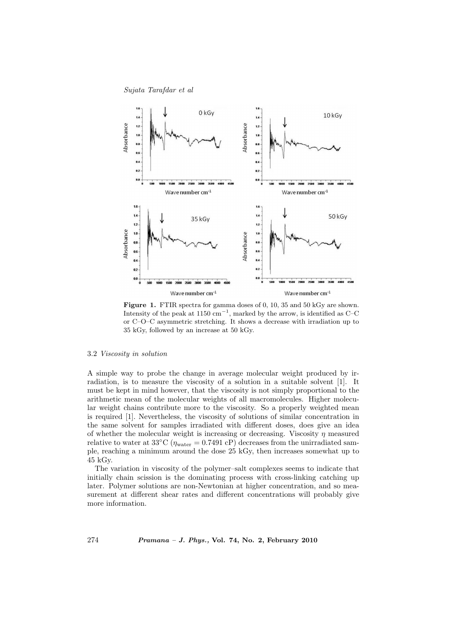Sujata Tarafdar et al



Figure 1. FTIR spectra for gamma doses of 0, 10, 35 and 50 kGy are shown. Intensity of the peak at 1150 cm<sup>-1</sup>, marked by the arrow, is identified as C–C or C–O–C asymmetric stretching. It shows a decrease with irradiation up to 35 kGy, followed by an increase at 50 kGy.

#### 3.2 Viscosity in solution

A simple way to probe the change in average molecular weight produced by irradiation, is to measure the viscosity of a solution in a suitable solvent [1]. It must be kept in mind however, that the viscosity is not simply proportional to the arithmetic mean of the molecular weights of all macromolecules. Higher molecular weight chains contribute more to the viscosity. So a properly weighted mean is required [1]. Nevertheless, the viscosity of solutions of similar concentration in the same solvent for samples irradiated with different doses, does give an idea of whether the molecular weight is increasing or decreasing. Viscosity  $\eta$  measured relative to water at 33°C ( $\eta_{\text{water}} = 0.7491 \text{ cP}$ ) decreases from the unirradiated sample, reaching a minimum around the dose 25 kGy, then increases somewhat up to 45 kGy.

The variation in viscosity of the polymer–salt complexes seems to indicate that initially chain scission is the dominating process with cross-linking catching up later. Polymer solutions are non-Newtonian at higher concentration, and so measurement at different shear rates and different concentrations will probably give more information.

274 Pramana – J. Phys., Vol. 74, No. 2, February 2010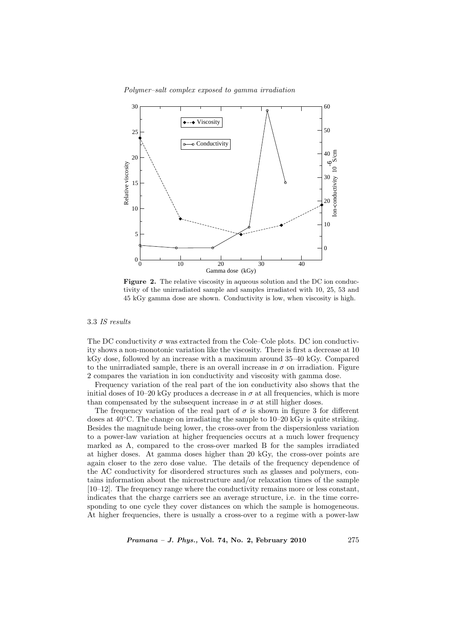Polymer–salt complex exposed to gamma irradiation



Figure 2. The relative viscosity in aqueous solution and the DC ion conductivity of the unirradiated sample and samples irradiated with 10, 25, 53 and 45 kGy gamma dose are shown. Conductivity is low, when viscosity is high.

3.3 IS results

The DC conductivity  $\sigma$  was extracted from the Cole–Cole plots. DC ion conductivity shows a non-monotonic variation like the viscosity. There is first a decrease at 10 kGy dose, followed by an increase with a maximum around 35–40 kGy. Compared to the unirradiated sample, there is an overall increase in  $\sigma$  on irradiation. Figure 2 compares the variation in ion conductivity and viscosity with gamma dose.

Frequency variation of the real part of the ion conductivity also shows that the initial doses of 10–20 kGy produces a decrease in  $\sigma$  at all frequencies, which is more than compensated by the subsequent increase in  $\sigma$  at still higher doses.

The frequency variation of the real part of  $\sigma$  is shown in figure 3 for different doses at 40◦C. The change on irradiating the sample to 10–20 kGy is quite striking. Besides the magnitude being lower, the cross-over from the dispersionless variation to a power-law variation at higher frequencies occurs at a much lower frequency marked as A, compared to the cross-over marked B for the samples irradiated at higher doses. At gamma doses higher than 20 kGy, the cross-over points are again closer to the zero dose value. The details of the frequency dependence of the AC conductivity for disordered structures such as glasses and polymers, contains information about the microstructure and/or relaxation times of the sample [10–12]. The frequency range where the conductivity remains more or less constant, indicates that the charge carriers see an average structure, i.e. in the time corresponding to one cycle they cover distances on which the sample is homogeneous. At higher frequencies, there is usually a cross-over to a regime with a power-law

*Pramana – J. Phys.*, Vol. 74, No. 2, February 2010  $275$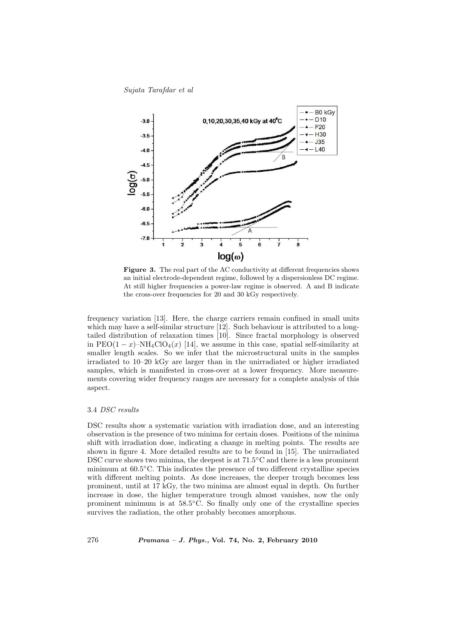Sujata Tarafdar et al



Figure 3. The real part of the AC conductivity at different frequencies shows an initial electrode-dependent regime, followed by a dispersionless DC regime. At still higher frequencies a power-law regime is observed. A and B indicate the cross-over frequencies for 20 and 30 kGy respectively.

frequency variation [13]. Here, the charge carriers remain confined in small units which may have a self-similar structure [12]. Such behaviour is attributed to a longtailed distribution of relaxation times [10]. Since fractal morphology is observed in PEO $(1-x)$ –NH<sub>4</sub>ClO<sub>4</sub> $(x)$  [14], we assume in this case, spatial self-similarity at smaller length scales. So we infer that the microstructural units in the samples irradiated to 10–20 kGy are larger than in the unirradiated or higher irradiated samples, which is manifested in cross-over at a lower frequency. More measurements covering wider frequency ranges are necessary for a complete analysis of this aspect.

### 3.4 DSC results

DSC results show a systematic variation with irradiation dose, and an interesting observation is the presence of two minima for certain doses. Positions of the minima shift with irradiation dose, indicating a change in melting points. The results are shown in figure 4. More detailed results are to be found in [15]. The unirradiated DSC curve shows two minima, the deepest is at  $71.5\degree$ C and there is a less prominent minimum at 60.5◦C. This indicates the presence of two different crystalline species with different melting points. As dose increases, the deeper trough becomes less prominent, until at 17 kGy, the two minima are almost equal in depth. On further increase in dose, the higher temperature trough almost vanishes, now the only prominent minimum is at 58.5◦C. So finally only one of the crystalline species survives the radiation, the other probably becomes amorphous.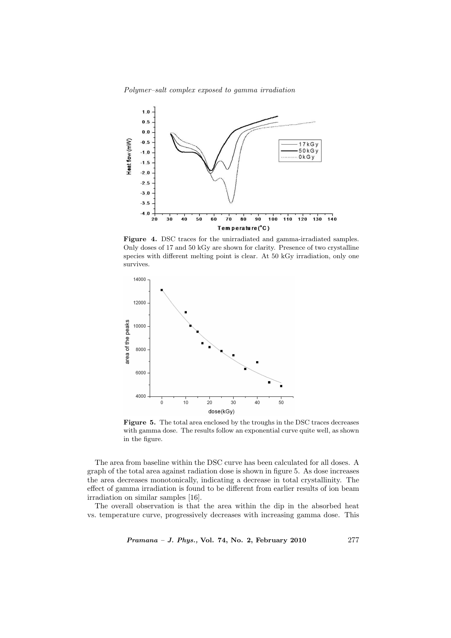Polymer–salt complex exposed to gamma irradiation



Figure 4. DSC traces for the unirradiated and gamma-irradiated samples. Only doses of 17 and 50 kGy are shown for clarity. Presence of two crystalline species with different melting point is clear. At 50 kGy irradiation, only one survives.



Figure 5. The total area enclosed by the troughs in the DSC traces decreases with gamma dose. The results follow an exponential curve quite well, as shown in the figure.

The area from baseline within the DSC curve has been calculated for all doses. A graph of the total area against radiation dose is shown in figure 5. As dose increases the area decreases monotonically, indicating a decrease in total crystallinity. The effect of gamma irradiation is found to be different from earlier results of ion beam irradiation on similar samples [16].

The overall observation is that the area within the dip in the absorbed heat vs. temperature curve, progressively decreases with increasing gamma dose. This

Pramana – J. Phys., Vol. 74, No. 2, February 2010 277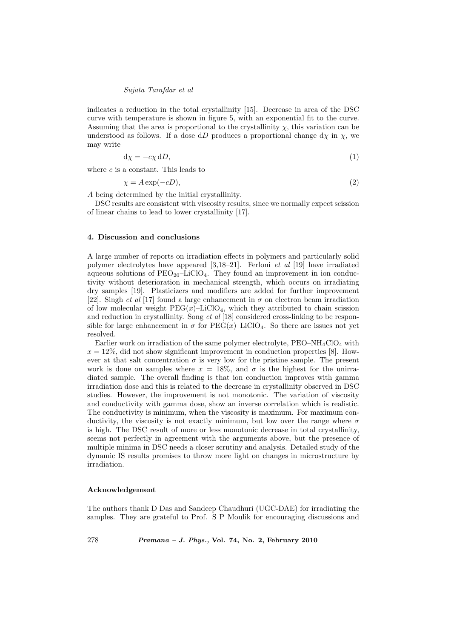#### Sujata Tarafdar et al

indicates a reduction in the total crystallinity [15]. Decrease in area of the DSC curve with temperature is shown in figure 5, with an exponential fit to the curve. Assuming that the area is proportional to the crystallinity  $\chi$ , this variation can be understood as follows. If a dose dD produces a proportional change  $d\chi$  in  $\chi$ , we may write

$$
d\chi = -c\chi \, dD,\tag{1}
$$

where  $c$  is a constant. This leads to

$$
\chi = A \exp(-cD),\tag{2}
$$

A being determined by the initial crystallinity.

DSC results are consistent with viscosity results, since we normally expect scission of linear chains to lead to lower crystallinity [17].

## 4. Discussion and conclusions

A large number of reports on irradiation effects in polymers and particularly solid polymer electrolytes have appeared  $[3,18-21]$ . Ferloni *et al* [19] have irradiated aqueous solutions of  $PEO_{20}$ –LiClO<sub>4</sub>. They found an improvement in ion conductivity without deterioration in mechanical strength, which occurs on irradiating dry samples [19]. Plasticizers and modifiers are added for further improvement [22]. Singh *et al* [17] found a large enhancement in  $\sigma$  on electron beam irradiation of low molecular weight  $PEG(x)$ –LiClO<sub>4</sub>, which they attributed to chain scission and reduction in crystallinity. Song et al [18] considered cross-linking to be responsible for large enhancement in  $\sigma$  for PEG(x)–LiClO<sub>4</sub>. So there are issues not yet resolved.

Earlier work on irradiation of the same polymer electrolyte,  $PEO-NH_4ClO_4$  with  $x = 12\%$ , did not show significant improvement in conduction properties [8]. However at that salt concentration  $\sigma$  is very low for the pristine sample. The present work is done on samples where  $x = 18\%$ , and  $\sigma$  is the highest for the unirradiated sample. The overall finding is that ion conduction improves with gamma irradiation dose and this is related to the decrease in crystallinity observed in DSC studies. However, the improvement is not monotonic. The variation of viscosity and conductivity with gamma dose, show an inverse correlation which is realistic. The conductivity is minimum, when the viscosity is maximum. For maximum conductivity, the viscosity is not exactly minimum, but low over the range where  $\sigma$ is high. The DSC result of more or less monotonic decrease in total crystallinity, seems not perfectly in agreement with the arguments above, but the presence of multiple minima in DSC needs a closer scrutiny and analysis. Detailed study of the dynamic IS results promises to throw more light on changes in microstructure by irradiation.

#### Acknowledgement

The authors thank D Das and Sandeep Chaudhuri (UGC-DAE) for irradiating the samples. They are grateful to Prof. S P Moulik for encouraging discussions and

278 Pramana – J. Phys., Vol. 74, No. 2, February 2010